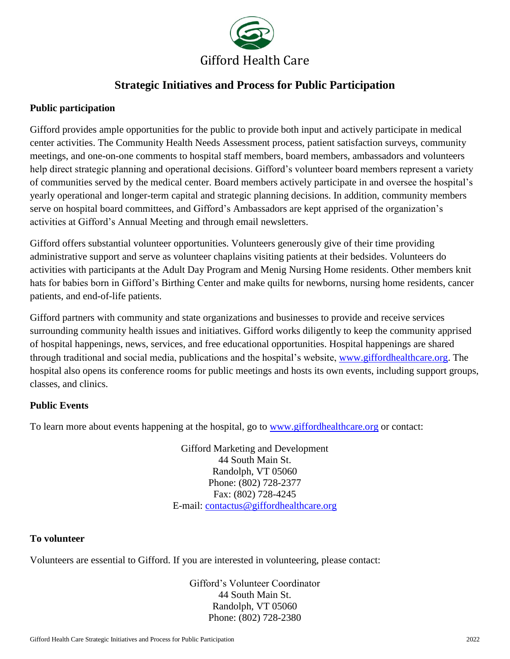

# **Strategic Initiatives and Process for Public Participation**

# **Public participation**

Gifford provides ample opportunities for the public to provide both input and actively participate in medical center activities. The Community Health Needs Assessment process, patient satisfaction surveys, community meetings, and one-on-one comments to hospital staff members, board members, ambassadors and volunteers help direct strategic planning and operational decisions. Gifford's volunteer board members represent a variety of communities served by the medical center. Board members actively participate in and oversee the hospital's yearly operational and longer-term capital and strategic planning decisions. In addition, community members serve on hospital board committees, and Gifford's Ambassadors are kept apprised of the organization's activities at Gifford's Annual Meeting and through email newsletters.

Gifford offers substantial volunteer opportunities. Volunteers generously give of their time providing administrative support and serve as volunteer chaplains visiting patients at their bedsides. Volunteers do activities with participants at the Adult Day Program and Menig Nursing Home residents. Other members knit hats for babies born in Gifford's Birthing Center and make quilts for newborns, nursing home residents, cancer patients, and end-of-life patients.

Gifford partners with community and state organizations and businesses to provide and receive services surrounding community health issues and initiatives. Gifford works diligently to keep the community apprised of hospital happenings, news, services, and free educational opportunities. Hospital happenings are shared through traditional and social media, publications and the hospital's website, [www.giffordhealthcare.org.](http://www.giffordhealthcare.org/) The hospital also opens its conference rooms for public meetings and hosts its own events, including support groups, classes, and clinics.

# **Public Events**

To learn more about events happening at the hospital, go to [www.giffordhealthcare.org](http://www.giffordhealthcare.org/) or contact:

Gifford Marketing and Development 44 South Main St. Randolph, VT 05060 Phone: (802) 728-2377 Fax: (802) 728-4245 E-mail: [contactus@giffordhealthcare.org](mailto:contactus@giffordhealthcare.org)

### **To volunteer**

Volunteers are essential to Gifford. If you are interested in volunteering, please contact:

Gifford's Volunteer Coordinator 44 South Main St. Randolph, VT 05060 Phone: (802) 728-2380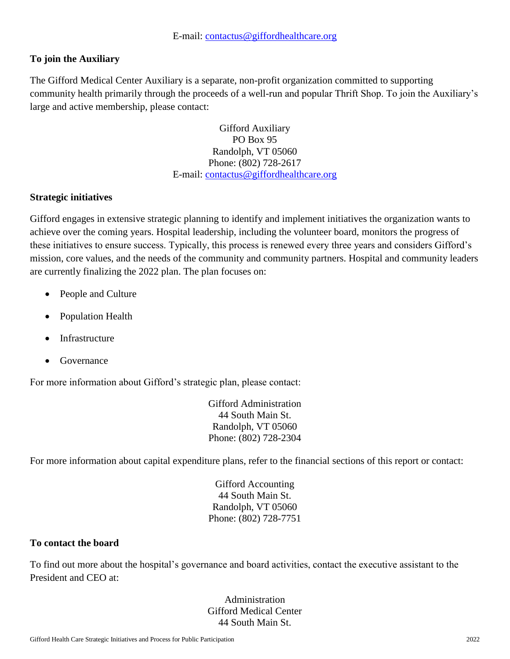# **To join the Auxiliary**

The Gifford Medical Center Auxiliary is a separate, non-profit organization committed to supporting community health primarily through the proceeds of a well-run and popular Thrift Shop. To join the Auxiliary's large and active membership, please contact:

> Gifford Auxiliary PO Box 95 Randolph, VT 05060 Phone: (802) 728-2617 E-mail: [contactus@giffordhealthcare.org](mailto:contactus@giffordhealthcare.org)

# **Strategic initiatives**

Gifford engages in extensive strategic planning to identify and implement initiatives the organization wants to achieve over the coming years. Hospital leadership, including the volunteer board, monitors the progress of these initiatives to ensure success. Typically, this process is renewed every three years and considers Gifford's mission, core values, and the needs of the community and community partners. Hospital and community leaders are currently finalizing the 2022 plan. The plan focuses on:

- People and Culture
- Population Health
- **Infrastructure**
- Governance

For more information about Gifford's strategic plan, please contact:

Gifford Administration 44 South Main St. Randolph, VT 05060 Phone: (802) 728-2304

For more information about capital expenditure plans, refer to the financial sections of this report or contact:

Gifford Accounting 44 South Main St. Randolph, VT 05060 Phone: (802) 728-7751

### **To contact the board**

To find out more about the hospital's governance and board activities, contact the executive assistant to the President and CEO at:

> Administration Gifford Medical Center 44 South Main St.